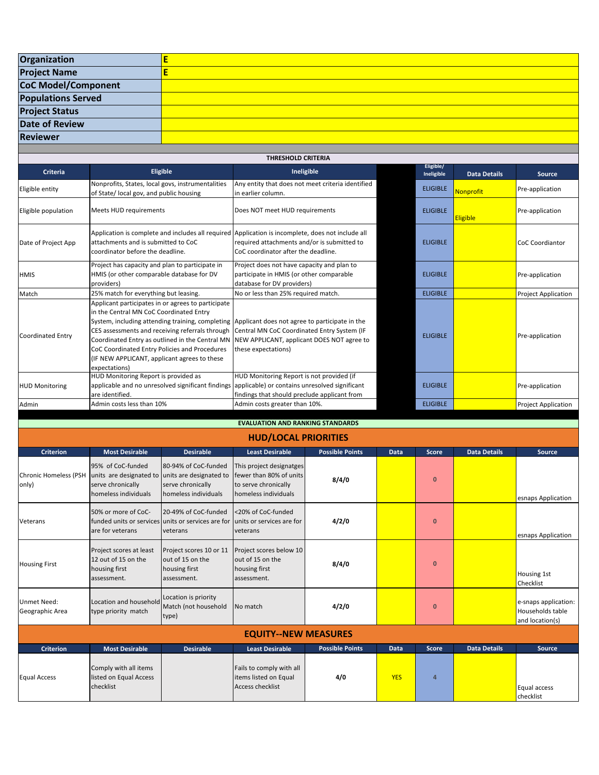| Organization               |  |
|----------------------------|--|
| <b>Project Name</b>        |  |
| <b>CoC Model/Component</b> |  |
| <b>Populations Served</b>  |  |
| <b>Project Status</b>      |  |
| <b>Date of Review</b>      |  |
| <b>Reviewer</b>            |  |
|                            |  |

| <b>THRESHOLD CRITERIA</b>        |                                                                                                                                                                                                                                                                                                                                                                           |                                                                                                                                                                    |                         |                     |                            |  |  |  |
|----------------------------------|---------------------------------------------------------------------------------------------------------------------------------------------------------------------------------------------------------------------------------------------------------------------------------------------------------------------------------------------------------------------------|--------------------------------------------------------------------------------------------------------------------------------------------------------------------|-------------------------|---------------------|----------------------------|--|--|--|
| <b>Criteria</b>                  | Eligible                                                                                                                                                                                                                                                                                                                                                                  | Ineligible                                                                                                                                                         | Eligible/<br>Ineligible | <b>Data Details</b> | <b>Source</b>              |  |  |  |
| Eligible entity                  | Nonprofits, States, local govs, instrumentalities<br>of State/ local gov, and public housing                                                                                                                                                                                                                                                                              | Any entity that does not meet criteria identified<br>in earlier column.                                                                                            | <b>ELIGIBLE</b>         | Nonprofit           | Pre-application            |  |  |  |
| Eligible population              | Meets HUD requirements                                                                                                                                                                                                                                                                                                                                                    | Does NOT meet HUD requirements                                                                                                                                     | <b>ELIGIBLE</b>         | Eligible            | Pre-application            |  |  |  |
| Date of Project App              | Application is complete and includes all required Application is incomplete, does not include all<br>attachments and is submitted to CoC<br>coordinator before the deadline.                                                                                                                                                                                              | required attachments and/or is submitted to<br>CoC coordinator after the deadline.                                                                                 | <b>ELIGIBLE</b>         |                     | <b>CoC Coordiantor</b>     |  |  |  |
| <b>HMIS</b>                      | Project has capacity and plan to participate in<br>HMIS (or other comparable database for DV<br>providers)                                                                                                                                                                                                                                                                | Project does not have capacity and plan to<br>participate in HMIS (or other comparable<br>database for DV providers)                                               | <b>ELIGIBLE</b>         |                     | Pre-application            |  |  |  |
| Match                            | 25% match for everything but leasing.                                                                                                                                                                                                                                                                                                                                     | No or less than 25% required match.                                                                                                                                | <b>ELIGIBLE</b>         |                     | <b>Project Application</b> |  |  |  |
| <b>Coordinated Entry</b>         | Applicant participates in or agrees to participate<br>in the Central MN CoC Coordinated Entry<br>System, including attending training, completing<br>CES assessments and receiving referrals through<br>Coordinated Entry as outlined in the Central MN<br>CoC Coordinated Entry Policies and Procedures<br>(IF NEW APPLICANT, applicant agrees to these<br>expectations) | Applicant does not agree to participate in the<br>Central MN CoC Coordinated Entry System (IF<br>NEW APPLICANT, applicant DOES NOT agree to<br>these expectations) | <b>ELIGIBLE</b>         |                     | Pre-application            |  |  |  |
| <b>HUD Monitoring</b>            | HUD Monitoring Report is provided as<br>applicable and no unresolved significant findings<br>are identified.                                                                                                                                                                                                                                                              | HUD Monitoring Report is not provided (if<br>applicable) or contains unresolved significant<br>findings that should preclude applicant from                        | <b>ELIGIBLE</b>         |                     | Pre-application            |  |  |  |
| Admin                            | Admin costs less than 10%                                                                                                                                                                                                                                                                                                                                                 | Admin costs greater than 10%.                                                                                                                                      | <b>ELIGIBLE</b>         |                     | <b>Project Application</b> |  |  |  |
| FVALUATION AND RANKING STANDARDS |                                                                                                                                                                                                                                                                                                                                                                           |                                                                                                                                                                    |                         |                     |                            |  |  |  |

**EVALUATION AND RANKING STANDARDS**

## **HUD/LOCAL PRIORITIES**

| <b>Criterion</b>                      | <b>Most Desirable</b>                                                                                             | <b>Desirable</b>                                                                       | <b>Least Desirable</b>                                                                               | <b>Possible Points</b> | <b>Data</b> | <b>Score</b> | <b>Data Details</b> | <b>Source</b>                                               |
|---------------------------------------|-------------------------------------------------------------------------------------------------------------------|----------------------------------------------------------------------------------------|------------------------------------------------------------------------------------------------------|------------------------|-------------|--------------|---------------------|-------------------------------------------------------------|
| <b>Chronic Homeless (PSH</b><br>only) | 95% of CoC-funded<br>units are designated to units are designated to<br>serve chronically<br>homeless individuals | 80-94% of CoC-funded<br>serve chronically<br>homeless individuals                      | This project designatges<br>Ifewer than 80% of units<br>to serve chronically<br>homeless individuals | 8/4/0                  |             | $\mathbf{0}$ |                     | esnaps Application                                          |
| Veterans                              | 50% or more of CoC-<br>are for veterans                                                                           | 20-49% of CoC-funded<br>funded units or services units or services are for<br>veterans | <20% of CoC-funded<br>units or services are for<br>veterans                                          | 4/2/0                  |             | $\mathbf{0}$ |                     | esnaps Application                                          |
| <b>Housing First</b>                  | Project scores at least<br>12 out of 15 on the<br>housing first<br>assessment.                                    | Project scores 10 or 11<br>out of 15 on the<br>housing first<br>assessment.            | Project scores below 10<br>out of 15 on the<br>housing first<br>assessment.                          | 8/4/0                  |             | $\mathbf{0}$ |                     | Housing 1st<br>Checklist                                    |
| <b>Unmet Need:</b><br>Geographic Area | Location and household<br>type priority match                                                                     | Location is priority<br>Match (not household<br>type)                                  | No match                                                                                             | 4/2/0                  |             | $\mathbf{0}$ |                     | e-snaps application:<br>Households table<br>and location(s) |
| <b>EQUITY--NEW MEASURES</b>           |                                                                                                                   |                                                                                        |                                                                                                      |                        |             |              |                     |                                                             |
| <b>Criterion</b>                      | <b>Most Desirable</b>                                                                                             | <b>Desirable</b>                                                                       | <b>Least Desirable</b>                                                                               | <b>Possible Points</b> | <b>Data</b> | Score        | <b>Data Details</b> | <b>Source</b>                                               |
| <b>Equal Access</b>                   | Comply with all items<br>listed on Equal Access<br>checklist                                                      |                                                                                        | Fails to comply with all<br>items listed on Equal<br><b>Access checklist</b>                         | 4/0                    | <b>YES</b>  | 4            |                     | Equal access<br>checklist                                   |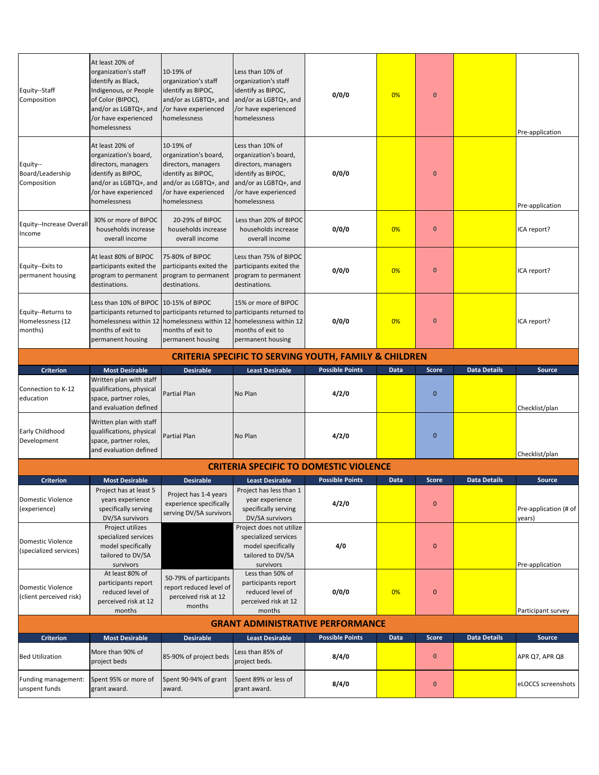| Equity--Staff<br>Composition                                                                                                                                               | At least 20% of<br>organization's staff<br>identify as Black,<br>Indigenous, or People<br>of Color (BIPOC),<br>and/or as LGBTQ+, and<br>or have experienced/<br>homelessness | 10-19% of<br>organization's staff<br>identify as BIPOC,<br>and/or as LGBTQ+, and<br>/or have experienced<br>homelessness                         | Less than 10% of<br>organization's staff<br>identify as BIPOC,<br>and/or as LGBTQ+, and<br>/or have experienced<br>homelessness                         | 0/0/0                  | 0%   | $\mathbf{0}$ |                     | Pre-application                 |
|----------------------------------------------------------------------------------------------------------------------------------------------------------------------------|------------------------------------------------------------------------------------------------------------------------------------------------------------------------------|--------------------------------------------------------------------------------------------------------------------------------------------------|---------------------------------------------------------------------------------------------------------------------------------------------------------|------------------------|------|--------------|---------------------|---------------------------------|
| Equity--<br>Board/Leadership<br>Composition                                                                                                                                | At least 20% of<br>organization's board,<br>directors, managers<br>identify as BIPOC,<br>and/or as LGBTQ+, and<br>or have experienced/<br>homelessness                       | 10-19% of<br>organization's board,<br>directors, managers<br>identify as BIPOC,<br>and/or as LGBTQ+, and<br>/or have experienced<br>homelessness | Less than 10% of<br>organization's board,<br>directors, managers<br>identify as BIPOC,<br>and/or as LGBTQ+, and<br>/or have experienced<br>homelessness | 0/0/0                  |      | $\bf{0}$     |                     | Pre-application                 |
| Equity--Increase Overal<br>Income                                                                                                                                          | 30% or more of BIPOC<br>households increase<br>overall income                                                                                                                | 20-29% of BIPOC<br>households increase<br>overall income                                                                                         | Less than 20% of BIPOC<br>households increase<br>overall income                                                                                         | 0/0/0                  | 0%   | $\bf{0}$     |                     | ICA report?                     |
| Equity--Exits to<br>permanent housing                                                                                                                                      | At least 80% of BIPOC<br>participants exited the<br>program to permanent<br>destinations.                                                                                    | 75-80% of BIPOC<br>participants exited the<br>program to permanent<br>destinations.                                                              | Less than 75% of BIPOC<br>participants exited the<br>program to permanent<br>destinations.                                                              | 0/0/0                  | 0%   | $\bf{0}$     |                     | ICA report?                     |
| Equity--Returns to<br>Homelessness (12<br>months)                                                                                                                          | Less than 10% of BIPOC 10-15% of BIPOC<br>months of exit to<br>permanent housing                                                                                             | homelessness within 12   homelessness within 12   homelessness within 12<br>months of exit to<br>permanent housing                               | 15% or more of BIPOC<br>participants returned to participants returned to participants returned to<br>months of exit to<br>permanent housing            | 0/0/0                  | 0%   | $\mathbf{0}$ |                     | ICA report?                     |
|                                                                                                                                                                            |                                                                                                                                                                              |                                                                                                                                                  | <b>CRITERIA SPECIFIC TO SERVING YOUTH, FAMILY &amp; CHILDREN</b>                                                                                        |                        |      |              |                     |                                 |
| <b>Criterion</b>                                                                                                                                                           | <b>Most Desirable</b>                                                                                                                                                        | <b>Desirable</b>                                                                                                                                 | <b>Least Desirable</b>                                                                                                                                  | <b>Possible Points</b> | Data | <b>Score</b> | <b>Data Details</b> | Source                          |
| Connection to K-12<br>education                                                                                                                                            | Written plan with staff<br>qualifications, physical<br>space, partner roles,<br>and evaluation defined                                                                       | Partial Plan                                                                                                                                     | No Plan                                                                                                                                                 | 4/2/0                  |      | $\mathbf{0}$ |                     | Checklist/plan                  |
| Early Childhood<br>Development                                                                                                                                             | Written plan with staff<br>qualifications, physical<br>space, partner roles,<br>and evaluation defined                                                                       | Partial Plan                                                                                                                                     | No Plan                                                                                                                                                 | 4/2/0                  |      | $\mathbf{0}$ |                     | Checklist/plan                  |
|                                                                                                                                                                            |                                                                                                                                                                              |                                                                                                                                                  | <b>CRITERIA SPECIFIC TO DOMESTIC VIOLENCE</b>                                                                                                           |                        |      |              |                     |                                 |
| <b>Criterion</b>                                                                                                                                                           | <b>Most Desirable</b>                                                                                                                                                        | <b>Desirable</b>                                                                                                                                 | <b>Least Desirable</b>                                                                                                                                  | <b>Possible Points</b> | Data | <b>Score</b> | <b>Data Details</b> | Source                          |
| Domestic Violence<br>(experience)                                                                                                                                          | Project has at least 5<br>years experience<br>specifically serving<br>DV/SA survivors                                                                                        | Project has 1-4 years<br>experience specifically<br>serving DV/SA survivors                                                                      | Project has less than 1<br>year experience<br>specifically serving<br>DV/SA survivors                                                                   | 4/2/0                  |      | $\mathbf{0}$ |                     | Pre-application (# of<br>years) |
| Domestic Violence<br>(specialized services)                                                                                                                                | Project utilizes<br>specialized services<br>model specifically<br>tailored to DV/SA<br>survivors                                                                             |                                                                                                                                                  | Project does not utilize<br>specialized services<br>model specifically<br>tailored to DV/SA<br>survivors                                                | 4/0                    |      | $\mathbf{0}$ |                     | Pre-application                 |
| Domestic Violence<br>(client perceived risk)                                                                                                                               | At least 80% of<br>participants report<br>reduced level of<br>perceived risk at 12<br>months                                                                                 | 50-79% of participants<br>report reduced level of<br>perceived risk at 12<br>months                                                              | Less than 50% of<br>participants report<br>reduced level of<br>perceived risk at 12<br>months                                                           | 0/0/0                  | 0%   | $\mathbf{0}$ |                     | Participant survey              |
| <b>GRANT ADMINISTRATIVE PERFORMANCE</b>                                                                                                                                    |                                                                                                                                                                              |                                                                                                                                                  |                                                                                                                                                         |                        |      |              |                     |                                 |
| <b>Possible Points</b><br><b>Data Details</b><br><b>Criterion</b><br><b>Most Desirable</b><br><b>Desirable</b><br>Data<br><b>Score</b><br>Source<br><b>Least Desirable</b> |                                                                                                                                                                              |                                                                                                                                                  |                                                                                                                                                         |                        |      |              |                     |                                 |
| <b>Bed Utilization</b>                                                                                                                                                     | More than 90% of<br>project beds                                                                                                                                             | 85-90% of project beds                                                                                                                           | Less than 85% of<br>project beds.                                                                                                                       | 8/4/0                  |      | $\pmb{0}$    |                     | APR Q7, APR Q8                  |
| Funding management:<br>unspent funds                                                                                                                                       | Spent 95% or more of<br>grant award.                                                                                                                                         | Spent 90-94% of grant<br>award.                                                                                                                  | Spent 89% or less of<br>grant award.                                                                                                                    | 8/4/0                  |      | $\bf{0}$     |                     | eLOCCS screenshots              |